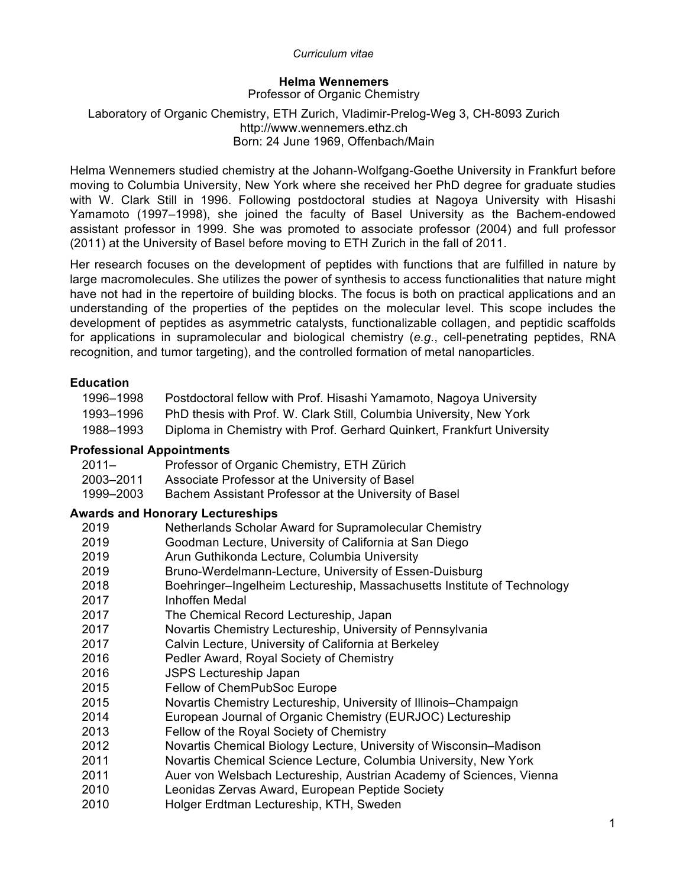# **Helma Wennemers**

Professor of Organic Chemistry

## Laboratory of Organic Chemistry, ETH Zurich, Vladimir-Prelog-Weg 3, CH-8093 Zurich http://www.wennemers.ethz.ch Born: 24 June 1969, Offenbach/Main

Helma Wennemers studied chemistry at the Johann-Wolfgang-Goethe University in Frankfurt before moving to Columbia University, New York where she received her PhD degree for graduate studies with W. Clark Still in 1996. Following postdoctoral studies at Nagoya University with Hisashi Yamamoto (1997–1998), she joined the faculty of Basel University as the Bachem-endowed assistant professor in 1999. She was promoted to associate professor (2004) and full professor (2011) at the University of Basel before moving to ETH Zurich in the fall of 2011.

Her research focuses on the development of peptides with functions that are fulfilled in nature by large macromolecules. She utilizes the power of synthesis to access functionalities that nature might have not had in the repertoire of building blocks. The focus is both on practical applications and an understanding of the properties of the peptides on the molecular level. This scope includes the development of peptides as asymmetric catalysts, functionalizable collagen, and peptidic scaffolds for applications in supramolecular and biological chemistry (*e.g.*, cell-penetrating peptides, RNA recognition, and tumor targeting), and the controlled formation of metal nanoparticles.

## **Education**

| 1996–1998 | Postdoctoral fellow with Prof. Hisashi Yamamoto, Nagoya University     |
|-----------|------------------------------------------------------------------------|
| 1993–1996 | PhD thesis with Prof. W. Clark Still, Columbia University, New York    |
| 1988–1993 | Diploma in Chemistry with Prof. Gerhard Quinkert, Frankfurt University |

## **Professional Appointments**

| $2011 -$  | Professor of Organic Chemistry, ETH Zürich            |
|-----------|-------------------------------------------------------|
| 2003–2011 | Associate Professor at the University of Basel        |
| 1999–2003 | Bachem Assistant Professor at the University of Basel |

## **Awards and Honorary Lectureships**

| 2019   | Netherlands Scholar Award for Supramolecular Chemistry                  |
|--------|-------------------------------------------------------------------------|
| 2019   | Goodman Lecture, University of California at San Diego                  |
| 2019   | Arun Guthikonda Lecture, Columbia University                            |
| 2019   | Bruno-Werdelmann-Lecture, University of Essen-Duisburg                  |
| 2018   | Boehringer-Ingelheim Lectureship, Massachusetts Institute of Technology |
| 2017   | Inhoffen Medal                                                          |
| 2017   | The Chemical Record Lectureship, Japan                                  |
| 2017   | Novartis Chemistry Lectureship, University of Pennsylvania              |
| 2017   | Calvin Lecture, University of California at Berkeley                    |
| 2016   | Pedler Award, Royal Society of Chemistry                                |
| 2016   | <b>JSPS Lectureship Japan</b>                                           |
| 2015   | Fellow of ChemPubSoc Europe                                             |
| 2015   | Novartis Chemistry Lectureship, University of Illinois-Champaign        |
| 2014   | European Journal of Organic Chemistry (EURJOC) Lectureship              |
| 2013   | Fellow of the Royal Society of Chemistry                                |
| 2012   | Novartis Chemical Biology Lecture, University of Wisconsin–Madison      |
| 2011   | Novartis Chemical Science Lecture, Columbia University, New York        |
| 2011   | Auer von Welsbach Lectureship, Austrian Academy of Sciences, Vienna     |
| 2010   | Leonidas Zervas Award, European Peptide Society                         |
| ה ו הר | Helser Erdtman Leetureebin, IZTH, Culeden                               |

2010 Holger Erdtman Lectureship, KTH, Sweden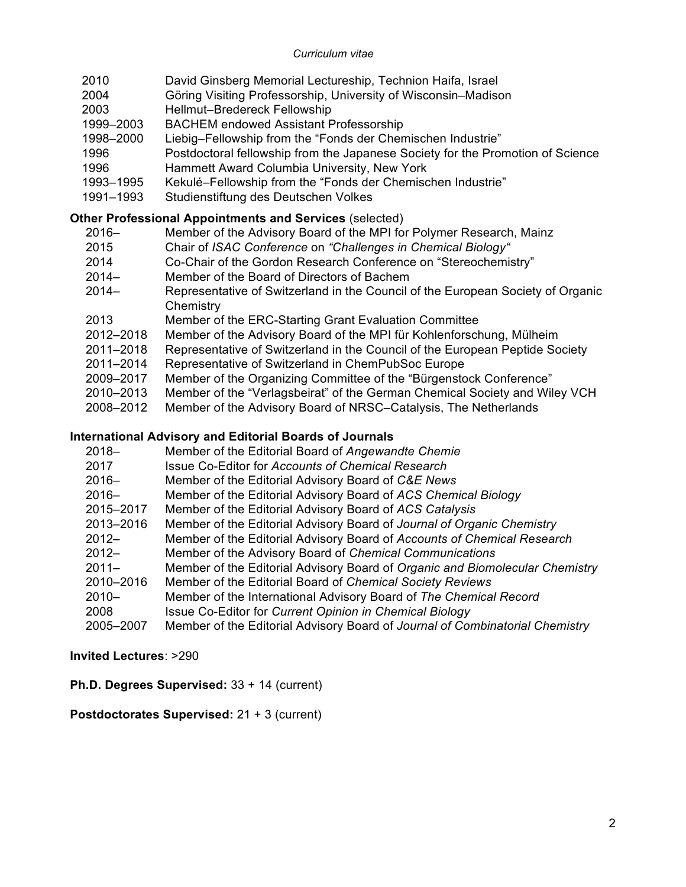- 2010 David Ginsberg Memorial Lectureship, Technion Haifa, Israel
- 2004 Göring Visiting Professorship, University of Wisconsin–Madison
- 2003 Hellmut–Bredereck Fellowship
- 1999–2003 BACHEM endowed Assistant Professorship
- 1998–2000 Liebig–Fellowship from the "Fonds der Chemischen Industrie"
- 1996 Postdoctoral fellowship from the Japanese Society for the Promotion of Science
- 1996 Hammett Award Columbia University, New York
- 1993–1995 Kekulé–Fellowship from the "Fonds der Chemischen Industrie"
- 1991–1993 Studienstiftung des Deutschen Volkes

# **Other Professional Appointments and Services** (selected)

- 2016– Member of the Advisory Board of the MPI for Polymer Research, Mainz
- 2015 Chair of *ISAC Conference* on *"Challenges in Chemical Biology"*
- 2014 Co-Chair of the Gordon Research Conference on "Stereochemistry"
- 2014– Member of the Board of Directors of Bachem
- 2014– Representative of Switzerland in the Council of the European Society of Organic **Chemistry**
- 2013 Member of the ERC-Starting Grant Evaluation Committee
- 2012–2018 Member of the Advisory Board of the MPI für Kohlenforschung, Mülheim
- 2011–2018 Representative of Switzerland in the Council of the European Peptide Society
- 2011–2014 Representative of Switzerland in ChemPubSoc Europe
- 2009–2017 Member of the Organizing Committee of the "Bürgenstock Conference"
- 2010–2013 Member of the "Verlagsbeirat" of the German Chemical Society and Wiley VCH
- 2008–2012 Member of the Advisory Board of NRSC–Catalysis, The Netherlands

# **International Advisory and Editorial Boards of Journals**

- 2018– Member of the Editorial Board of *Angewandte Chemie*
- 2017 Issue Co-Editor for *Accounts of Chemical Research*
- 2016– Member of the Editorial Advisory Board of *C&E News*
- 2016– Member of the Editorial Advisory Board of *ACS Chemical Biology*
- 2015–2017 Member of the Editorial Advisory Board of *ACS Catalysis*
- 2013–2016 Member of the Editorial Advisory Board of *Journal of Organic Chemistry*
- 2012– Member of the Editorial Advisory Board of *Accounts of Chemical Research*
- 2012– Member of the Advisory Board of *Chemical Communications*
- 2011– Member of the Editorial Advisory Board of *Organic and Biomolecular Chemistry*
- 2010–2016 Member of the Editorial Board of *Chemical Society Reviews*
- 2010– Member of the International Advisory Board of *The Chemical Record*
- 2008 Issue Co-Editor for *Current Opinion in Chemical Biology*
- 2005–2007 Member of the Editorial Advisory Board of *Journal of Combinatorial Chemistry*

**Invited Lectures**: >290

**Ph.D. Degrees Supervised:** 33 + 14 (current)

**Postdoctorates Supervised:** 21 + 3 (current)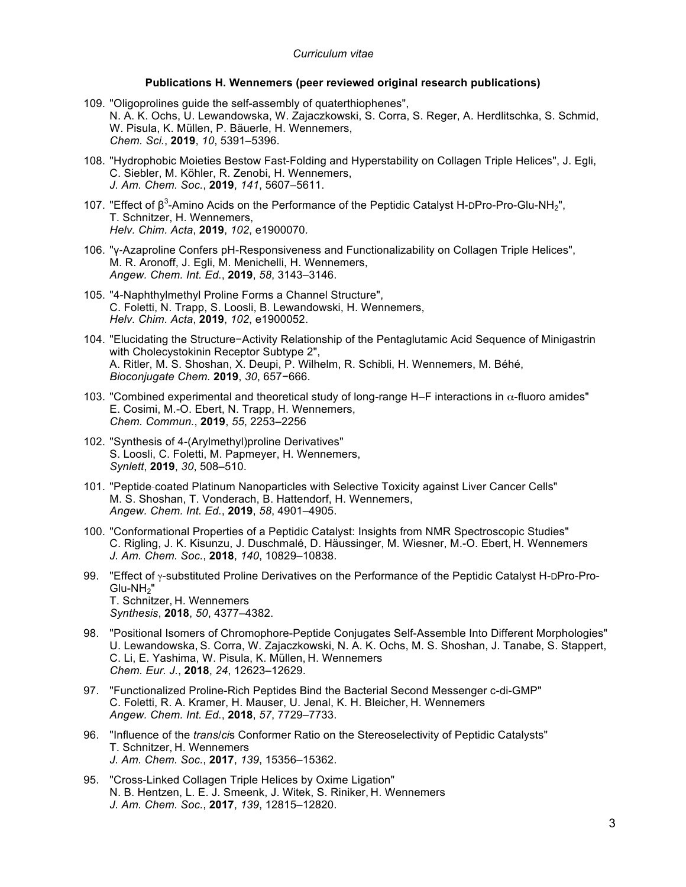## **Publications H. Wennemers (peer reviewed original research publications)**

- 109. "Oligoprolines guide the self-assembly of quaterthiophenes", N. A. K. Ochs, U. Lewandowska, W. Zajaczkowski, S. Corra, S. Reger, A. Herdlitschka, S. Schmid, W. Pisula, K. Müllen, P. Bäuerle, H. Wennemers, *Chem. Sci.*, **2019**, *10*, 5391–5396.
- 108. "Hydrophobic Moieties Bestow Fast-Folding and Hyperstability on Collagen Triple Helices", J. Egli, C. Siebler, M. Köhler, R. Zenobi, H. Wennemers, *J. Am. Chem. Soc.*, **2019**, *141*, 5607–5611.
- 107. "Effect of  $\beta^3$ -Amino Acids on the Performance of the Peptidic Catalyst H-DPro-Pro-Glu-NH<sub>2</sub>", T. Schnitzer, H. Wennemers, *Helv. Chim. Acta*, **2019**, *102*, e1900070*.*
- 106. "γ‐Azaproline Confers pH-Responsiveness and Functionalizability on Collagen Triple Helices", M. R. Aronoff, J. Egli, M. Menichelli, H. Wennemers, *Angew. Chem. Int. Ed.*, **2019**, *58*, 3143–3146.
- 105. "4-Naphthylmethyl Proline Forms a Channel Structure", C. Foletti, N. Trapp, S. Loosli, B. Lewandowski, H. Wennemers, *Helv. Chim. Acta*, **2019**, *102*, e1900052.
- 104. "Elucidating the Structure−Activity Relationship of the Pentaglutamic Acid Sequence of Minigastrin with Cholecystokinin Receptor Subtype 2", A. Ritler, M. S. Shoshan, X. Deupi, P. Wilhelm, R. Schibli, H. Wennemers, M. Béhé, *Bioconjugate Chem.* **2019**, *30*, 657−666.
- 103. "Combined experimental and theoretical study of long-range H–F interactions in α-fluoro amides" E. Cosimi, M.-O. Ebert, N. Trapp, H. Wennemers, *Chem. Commun.*, **2019**, *55*, 2253–2256
- 102. "Synthesis of 4-(Arylmethyl)proline Derivatives" S. Loosli, C. Foletti, M. Papmeyer, H. Wennemers, *Synlett*, **2019**, *30*, 508–510.
- 101. "Peptide‐coated Platinum Nanoparticles with Selective Toxicity against Liver Cancer Cells" M. S. Shoshan, T. Vonderach, B. Hattendorf, H. Wennemers, *Angew. Chem. Int. Ed.*, **2019**, *58*, 4901–4905.
- 100. "Conformational Properties of a Peptidic Catalyst: Insights from NMR Spectroscopic Studies" C. Rigling, J. K. Kisunzu, J. Duschmalé, D. Häussinger, M. Wiesner, M.-O. Ebert, H. Wennemers *J. Am. Chem. Soc.*, **2018**, *140*, 10829–10838.
- 99. "Effect of γ-substituted Proline Derivatives on the Performance of the Peptidic Catalyst H-DPro-Pro-Glu-NH<sub>2</sub>" T. Schnitzer, H. Wennemers *Synthesis*, **2018**, *50*, 4377–4382.
- 98. "Positional Isomers of Chromophore-Peptide Conjugates Self-Assemble Into Different Morphologies" U. Lewandowska, S. Corra, W. Zajaczkowski, N. A. K. Ochs, M. S. Shoshan, J. Tanabe, S. Stappert, C. Li, E. Yashima, W. Pisula, K. Müllen, H. Wennemers *Chem. Eur. J.*, **2018**, *24*, 12623–12629.
- 97. "Functionalized Proline-Rich Peptides Bind the Bacterial Second Messenger c-di-GMP" C. Foletti, R. A. Kramer, H. Mauser, U. Jenal, K. H. Bleicher, H. Wennemers *Angew. Chem. Int. Ed.*, **2018**, *57*, 7729–7733.
- 96. "Influence of the *trans*/*ci*s Conformer Ratio on the Stereoselectivity of Peptidic Catalysts" T. Schnitzer, H. Wennemers *J. Am. Chem. Soc.*, **2017**, *139*, 15356–15362.
- 95. "Cross-Linked Collagen Triple Helices by Oxime Ligation" N. B. Hentzen, L. E. J. Smeenk, J. Witek, S. Riniker, H. Wennemers *J. Am. Chem. Soc.*, **2017**, *139*, 12815–12820.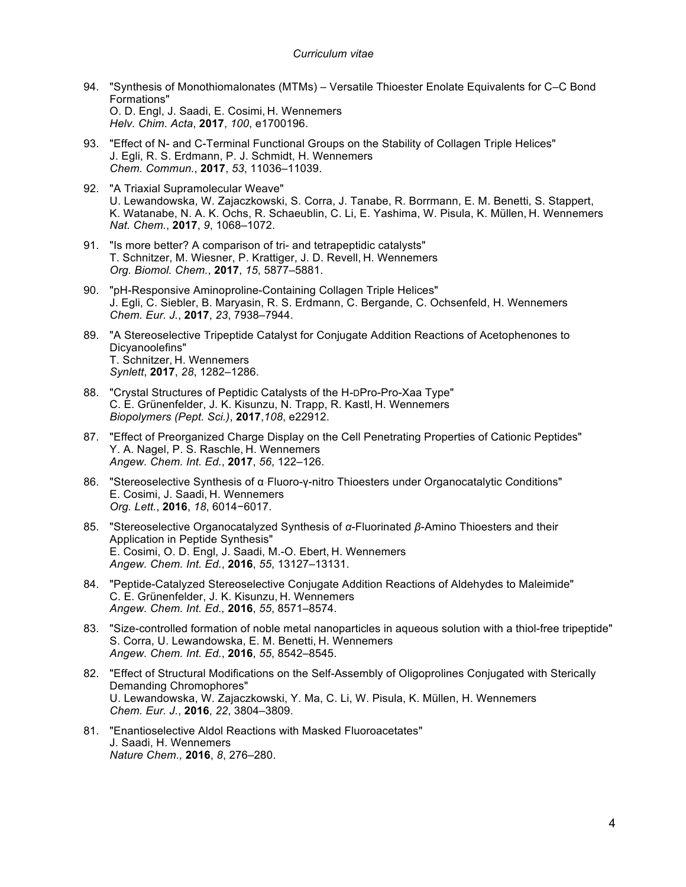- 94. "Synthesis of Monothiomalonates (MTMs) Versatile Thioester Enolate Equivalents for C–C Bond Formations" O. D. Engl, J. Saadi, E. Cosimi, H. Wennemers *Helv. Chim. Acta*, **2017**, *100*, e1700196.
- 93. "Effect of N- and C-Terminal Functional Groups on the Stability of Collagen Triple Helices" J. Egli, R. S. Erdmann, P. J. Schmidt, H. Wennemers *Chem. Commun.*, **2017**, *53*, 11036–11039.
- 92. "A Triaxial Supramolecular Weave" U. Lewandowska, W. Zajaczkowski, S. Corra, J. Tanabe, R. Borrmann, E. M. Benetti, S. Stappert, K. Watanabe, N. A. K. Ochs, R. Schaeublin, C. Li, E. Yashima, W. Pisula, K. Müllen, H. Wennemers *Nat. Chem.*, **2017**, *9*, 1068–1072.
- 91. "Is more better? A comparison of tri- and tetrapeptidic catalysts" T. Schnitzer, M. Wiesner, P. Krattiger, J. D. Revell, H. Wennemers *Org. Biomol. Chem.*, **2017**, *15*, 5877–5881.
- 90. "pH-Responsive Aminoproline-Containing Collagen Triple Helices" J. Egli, C. Siebler, B. Maryasin, R. S. Erdmann, C. Bergande, C. Ochsenfeld, H. Wennemers *Chem. Eur. J.*, **2017**, *23*, 7938–7944.
- 89. "A Stereoselective Tripeptide Catalyst for Conjugate Addition Reactions of Acetophenones to Dicyanoolefins" T. Schnitzer, H. Wennemers *Synlett*, **2017**, *28*, 1282–1286.
- 88. "Crystal Structures of Peptidic Catalysts of the H-DPro-Pro-Xaa Type" C. E. Grünenfelder, J. K. Kisunzu, N. Trapp, R. Kastl, H. Wennemers *Biopolymers (Pept. Sci.)*, **2017**,*108*, e22912.
- 87. "Effect of Preorganized Charge Display on the Cell Penetrating Properties of Cationic Peptides" Y. A. Nagel, P. S. Raschle, H. Wennemers *Angew. Chem. Int. Ed.*, **2017**, *56*, 122–126.
- 86. "Stereoselective Synthesis of α‐Fluoro-γ-nitro Thioesters under Organocatalytic Conditions" E. Cosimi, J. Saadi, H. Wennemers *Org. Lett.*, **2016**, *18*, 6014−6017.
- 85. "Stereoselective Organocatalyzed Synthesis of *α*-Fluorinated *β*-Amino Thioesters and their Application in Peptide Synthesis" E. Cosimi, O. D. Engl, J. Saadi, M.-O. Ebert, H. Wennemers *Angew. Chem. Int. Ed.*, **2016**, *55*, 13127–13131.
- 84. "Peptide-Catalyzed Stereoselective Conjugate Addition Reactions of Aldehydes to Maleimide" C. E. Grünenfelder, J. K. Kisunzu, H. Wennemers *Angew. Chem. Int. Ed.,* **2016**, *55*, 8571–8574.
- 83. "Size-controlled formation of noble metal nanoparticles in aqueous solution with a thiol-free tripeptide" S. Corra, U. Lewandowska, E. M. Benetti, H. Wennemers *Angew. Chem. Int. Ed.*, **2016**, *55*, 8542–8545.
- 82. "Effect of Structural Modifications on the Self-Assembly of Oligoprolines Conjugated with Sterically Demanding Chromophores" U. Lewandowska, W. Zajaczkowski, Y. Ma, C. Li, W. Pisula, K. Müllen, H. Wennemers *Chem. Eur. J.*, **2016**, *22*, 3804–3809.
- 81. "Enantioselective Aldol Reactions with Masked Fluoroacetates" J. Saadi, H. Wennemers *Nature Chem.,* **2016**, *8*, 276–280.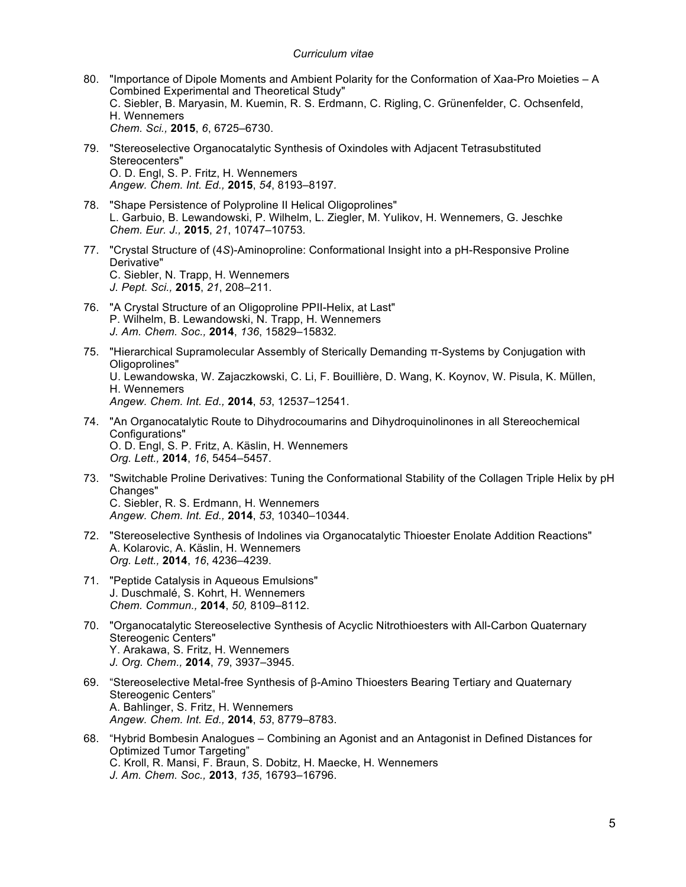- 80. "Importance of Dipole Moments and Ambient Polarity for the Conformation of Xaa-Pro Moieties A Combined Experimental and Theoretical Study" C. Siebler, B. Maryasin, M. Kuemin, R. S. Erdmann, C. Rigling, C. Grünenfelder, C. Ochsenfeld, H. Wennemers *Chem. Sci.,* **2015**, *6*, 6725–6730.
- 79. "Stereoselective Organocatalytic Synthesis of Oxindoles with Adjacent Tetrasubstituted Stereocenters" O. D. Engl, S. P. Fritz, H. Wennemers *Angew. Chem. Int. Ed.,* **2015**, *54*, 8193–8197*.*
- 78. "Shape Persistence of Polyproline II Helical Oligoprolines" L. Garbuio, B. Lewandowski, P. Wilhelm, L. Ziegler, M. Yulikov, H. Wennemers, G. Jeschke *Chem. Eur. J.,* **2015**, *21*, 10747–10753*.*
- 77. "Crystal Structure of (4*S*)-Aminoproline: Conformational Insight into a pH-Responsive Proline Derivative" C. Siebler, N. Trapp, H. Wennemers *J. Pept. Sci.,* **2015**, *21*, 208–211*.*
- 76. "A Crystal Structure of an Oligoproline PPII-Helix, at Last" P. Wilhelm, B. Lewandowski, N. Trapp, H. Wennemers *J. Am. Chem. Soc.,* **2014**, *136*, 15829–15832*.*
- 75. "Hierarchical Supramolecular Assembly of Sterically Demanding π-Systems by Conjugation with Oligoprolines" U. Lewandowska, W. Zajaczkowski, C. Li, F. Bouillière, D. Wang, K. Koynov, W. Pisula, K. Müllen, H. Wennemers *Angew. Chem. Int. Ed.,* **2014**, *53*, 12537–12541.
- 74. "An Organocatalytic Route to Dihydrocoumarins and Dihydroquinolinones in all Stereochemical Configurations" O. D. Engl, S. P. Fritz, A. Käslin, H. Wennemers *Org. Lett.,* **2014**, *16*, 5454–5457.
- 73. "Switchable Proline Derivatives: Tuning the Conformational Stability of the Collagen Triple Helix by pH Changes" C. Siebler, R. S. Erdmann, H. Wennemers *Angew. Chem. Int. Ed.,* **2014**, *53*, 10340–10344.
- 72. "Stereoselective Synthesis of Indolines via Organocatalytic Thioester Enolate Addition Reactions" A. Kolarovic, A. Käslin, H. Wennemers *Org. Lett.,* **2014**, *16*, 4236–4239.
- 71. "Peptide Catalysis in Aqueous Emulsions" J. Duschmalé, S. Kohrt, H. Wennemers *Chem. Commun.,* **2014**, *50,* 8109–8112.
- 70. "Organocatalytic Stereoselective Synthesis of Acyclic Nitrothioesters with All-Carbon Quaternary Stereogenic Centers" Y. Arakawa, S. Fritz, H. Wennemers *J. Org. Chem.,* **2014**, *79*, 3937–3945.
- 69. "Stereoselective Metal-free Synthesis of β-Amino Thioesters Bearing Tertiary and Quaternary Stereogenic Centers" A. Bahlinger, S. Fritz, H. Wennemers *Angew. Chem. Int. Ed.,* **2014**, *53*, 8779–8783.
- 68. "Hybrid Bombesin Analogues Combining an Agonist and an Antagonist in Defined Distances for Optimized Tumor Targeting" C. Kroll, R. Mansi, F. Braun, S. Dobitz, H. Maecke, H. Wennemers *J. Am. Chem. Soc.,* **2013**, *135*, 16793–16796.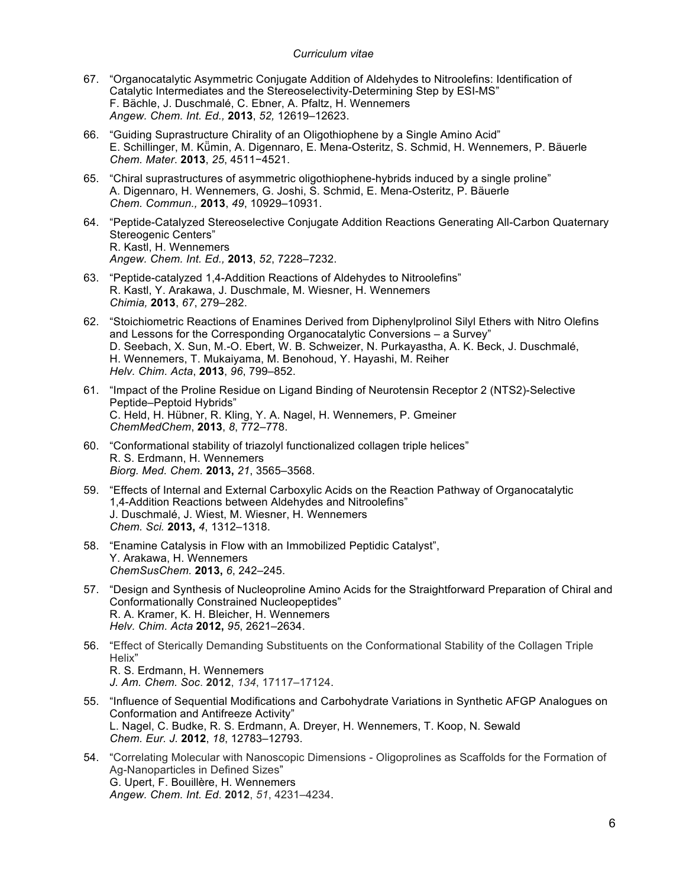- 67. "Organocatalytic Asymmetric Conjugate Addition of Aldehydes to Nitroolefins: Identification of Catalytic Intermediates and the Stereoselectivity-Determining Step by ESI-MS" F. Bächle, J. Duschmalé, C. Ebner, A. Pfaltz, H. Wennemers *Angew. Chem. Int. Ed.,* **2013**, *52,* 12619–12623.
- 66. "Guiding Suprastructure Chirality of an Oligothiophene by a Single Amino Acid" E. Schillinger, M. Kü̈min, A. Digennaro, E. Mena-Osteritz, S. Schmid, H. Wennemers, P. Bäuerle *Chem. Mater*. **2013**, *25*, 4511−4521.
- 65. "Chiral suprastructures of asymmetric oligothiophene-hybrids induced by a single proline" A. Digennaro, H. Wennemers, G. Joshi, S. Schmid, E. Mena-Osteritz, P. Bäuerle *Chem. Commun.,* **2013**, *49*, 10929–10931.
- 64. "Peptide-Catalyzed Stereoselective Conjugate Addition Reactions Generating All-Carbon Quaternary Stereogenic Centers" R. Kastl, H. Wennemers *Angew. Chem. Int. Ed.,* **2013**, *52*, 7228–7232.
- 63. "Peptide-catalyzed 1,4-Addition Reactions of Aldehydes to Nitroolefins" R. Kastl, Y. Arakawa, J. Duschmale, M. Wiesner, H. Wennemers *Chimia,* **2013**, *67*, 279–282.
- 62. "Stoichiometric Reactions of Enamines Derived from Diphenylprolinol Silyl Ethers with Nitro Olefins and Lessons for the Corresponding Organocatalytic Conversions – a Survey" D. Seebach, X. Sun, M.-O. Ebert, W. B. Schweizer, N. Purkayastha, A. K. Beck, J. Duschmalé, H. Wennemers, T. Mukaiyama, M. Benohoud, Y. Hayashi, M. Reiher *Helv. Chim. Acta*, **2013**, *96*, 799–852.
- 61. "Impact of the Proline Residue on Ligand Binding of Neurotensin Receptor 2 (NTS2)-Selective Peptide–Peptoid Hybrids" C. Held, H. Hübner, R. Kling, Y. A. Nagel, H. Wennemers, P. Gmeiner *ChemMedChem*, **2013**, *8*, 772–778.
- 60. "Conformational stability of triazolyl functionalized collagen triple helices" R. S. Erdmann, H. Wennemers *Biorg. Med. Chem.* **2013,** *21*, 3565*–*3568.
- 59. "Effects of Internal and External Carboxylic Acids on the Reaction Pathway of Organocatalytic 1,4-Addition Reactions between Aldehydes and Nitroolefins" J. Duschmalé, J. Wiest, M. Wiesner, H. Wennemers *Chem. Sci.* **2013,** *4*, 1312–1318.
- 58. "Enamine Catalysis in Flow with an Immobilized Peptidic Catalyst", Y. Arakawa, H. Wennemers *ChemSusChem.* **2013,** *6*, 242–245.
- 57. "Design and Synthesis of Nucleoproline Amino Acids for the Straightforward Preparation of Chiral and Conformationally Constrained Nucleopeptides" R. A. Kramer, K. H. Bleicher, H. Wennemers *Helv. Chim. Acta* **2012,** *95*, 2621–2634.
- 56. "Effect of Sterically Demanding Substituents on the Conformational Stability of the Collagen Triple Helix" R. S. Erdmann, H. Wennemers *J. Am. Chem. Soc*. **2012**, *134*, 17117–17124.
- 55. "Influence of Sequential Modifications and Carbohydrate Variations in Synthetic AFGP Analogues on Conformation and Antifreeze Activity" L. Nagel, C. Budke, R. S. Erdmann, A. Dreyer, H. Wennemers, T. Koop, N. Sewald *Chem. Eur. J.* **2012**, *18*, 12783–12793.
- 54. "Correlating Molecular with Nanoscopic Dimensions Oligoprolines as Scaffolds for the Formation of Ag-Nanoparticles in Defined Sizes" G. Upert, F. Bouillère, H. Wennemers *Angew. Chem. Int. Ed*. **2012**, *51*, 4231–4234.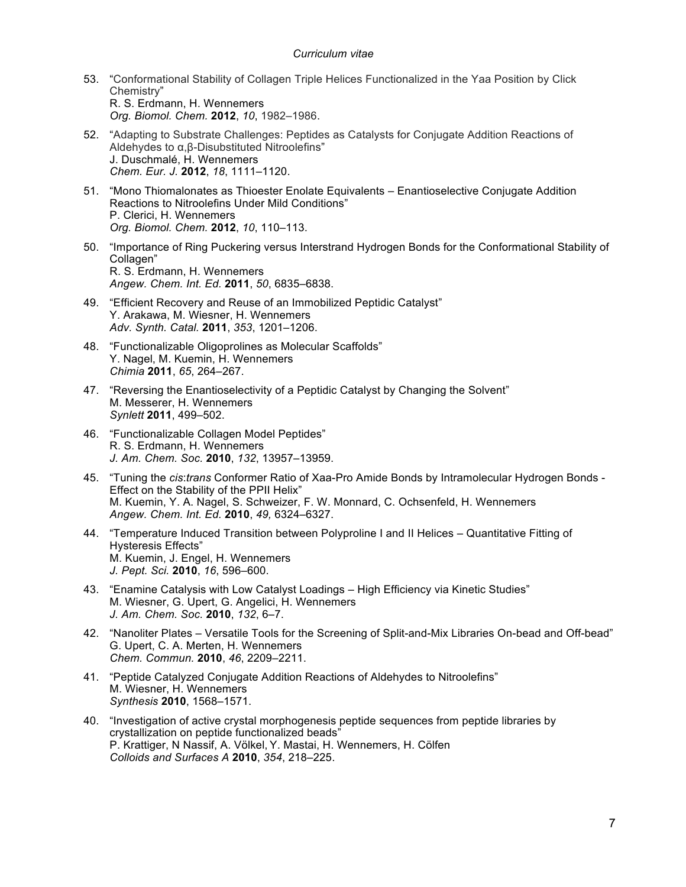- 53. "Conformational Stability of Collagen Triple Helices Functionalized in the Yaa Position by Click Chemistry" R. S. Erdmann, H. Wennemers *Org. Biomol. Chem.* **2012**, *10*, 1982–1986.
- 52. "Adapting to Substrate Challenges: Peptides as Catalysts for Conjugate Addition Reactions of Aldehydes to α,β-Disubstituted Nitroolefins" J. Duschmalé, H. Wennemers *Chem. Eur. J.* **2012**, *18*, 1111–1120.
- 51. "Mono Thiomalonates as Thioester Enolate Equivalents Enantioselective Conjugate Addition Reactions to Nitroolefins Under Mild Conditions" P. Clerici, H. Wennemers *Org. Biomol. Chem.* **2012**, *10*, 110–113.
- 50. "Importance of Ring Puckering versus Interstrand Hydrogen Bonds for the Conformational Stability of Collagen" R. S. Erdmann, H. Wennemers *Angew. Chem. Int. Ed.* **2011**, *50*, 6835–6838.
- 49. "Efficient Recovery and Reuse of an Immobilized Peptidic Catalyst" Y. Arakawa, M. Wiesner, H. Wennemers *Adv. Synth. Catal.* **2011**, *353*, 1201–1206.
- 48. "Functionalizable Oligoprolines as Molecular Scaffolds" Y. Nagel, M. Kuemin, H. Wennemers *Chimia* **2011**, *65*, 264–267.
- 47. "Reversing the Enantioselectivity of a Peptidic Catalyst by Changing the Solvent" M. Messerer, H. Wennemers *Synlett* **2011**, 499–502.
- 46. "Functionalizable Collagen Model Peptides" R. S. Erdmann, H. Wennemers *J. Am. Chem. Soc.* **2010**, *132*, 13957–13959.
- 45. "Tuning the *cis*:*trans* Conformer Ratio of Xaa-Pro Amide Bonds by Intramolecular Hydrogen Bonds Effect on the Stability of the PPII Helix" M. Kuemin, Y. A. Nagel, S. Schweizer, F. W. Monnard, C. Ochsenfeld, H. Wennemers *Angew. Chem. Int. Ed.* **2010**, *49,* 6324–6327.
- 44. "Temperature Induced Transition between Polyproline I and II Helices Quantitative Fitting of Hysteresis Effects" M. Kuemin, J. Engel, H. Wennemers *J. Pept. Sci.* **2010**, *16*, 596–600.
- 43. "Enamine Catalysis with Low Catalyst Loadings High Efficiency via Kinetic Studies" M. Wiesner, G. Upert, G. Angelici, H. Wennemers *J. Am. Chem. Soc.* **2010**, *132*, 6–7.
- 42. "Nanoliter Plates Versatile Tools for the Screening of Split-and-Mix Libraries On-bead and Off-bead" G. Upert, C. A. Merten, H. Wennemers *Chem. Commun.* **2010**, *46*, 2209–2211.
- 41. "Peptide Catalyzed Conjugate Addition Reactions of Aldehydes to Nitroolefins" M. Wiesner, H. Wennemers *Synthesis* **2010**, 1568–1571.
- 40. "Investigation of active crystal morphogenesis peptide sequences from peptide libraries by crystallization on peptide functionalized beads" P. Krattiger, N Nassif, A. Völkel, Y. Mastai, H. Wennemers, H. Cölfen *Colloids and Surfaces A* **2010**, *354*, 218–225.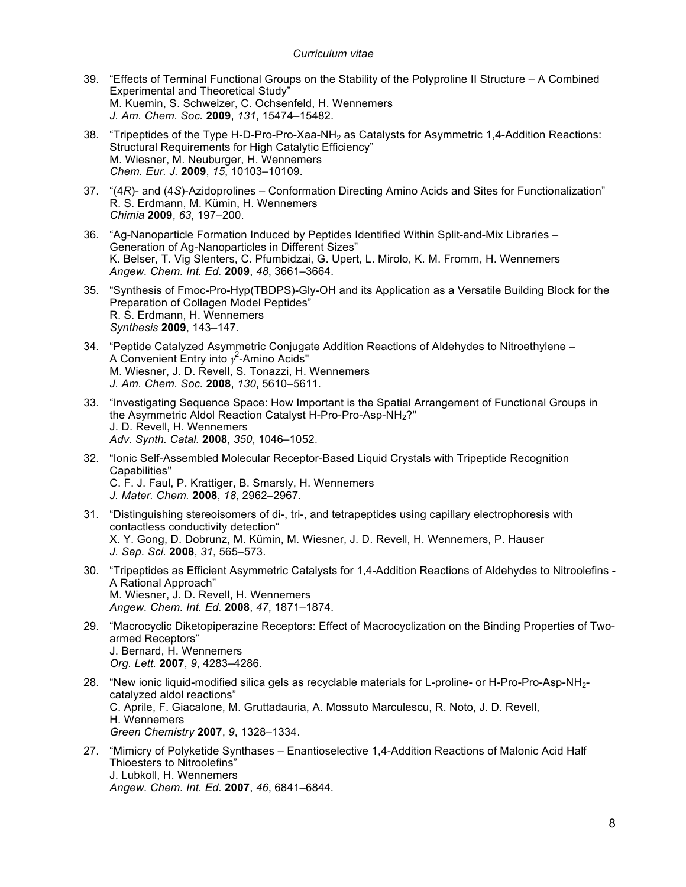- 39. "Effects of Terminal Functional Groups on the Stability of the Polyproline II Structure A Combined Experimental and Theoretical Study" M. Kuemin, S. Schweizer, C. Ochsenfeld, H. Wennemers *J. Am. Chem. Soc.* **2009**, *131*, 15474–15482.
- 38. "Tripeptides of the Type H-D-Pro-Pro-Xaa-NH<sub>2</sub> as Catalysts for Asymmetric 1,4-Addition Reactions: Structural Requirements for High Catalytic Efficiency" M. Wiesner, M. Neuburger, H. Wennemers *Chem. Eur. J.* **2009**, *15*, 10103–10109.
- 37. "(4*R*)- and (4*S*)-Azidoprolines Conformation Directing Amino Acids and Sites for Functionalization" R. S. Erdmann, M. Kümin, H. Wennemers *Chimia* **2009**, *63*, 197–200.
- 36. "Ag-Nanoparticle Formation Induced by Peptides Identified Within Split-and-Mix Libraries Generation of Ag-Nanoparticles in Different Sizes" K. Belser, T. Vig Slenters, C. Pfumbidzai, G. Upert, L. Mirolo, K. M. Fromm, H. Wennemers *Angew. Chem. Int. Ed.* **2009**, *48*, 3661–3664.
- 35. "Synthesis of Fmoc-Pro-Hyp(TBDPS)-Gly-OH and its Application as a Versatile Building Block for the Preparation of Collagen Model Peptides" R. S. Erdmann, H. Wennemers *Synthesis* **2009**, 143–147.
- 34. "Peptide Catalyzed Asymmetric Conjugate Addition Reactions of Aldehydes to Nitroethylene A Convenient Entry into  $\gamma^2$ -Amino Acids" M. Wiesner, J. D. Revell, S. Tonazzi, H. Wennemers *J. Am. Chem. Soc.* **2008**, *130*, 5610–5611*.*
- 33. "Investigating Sequence Space: How Important is the Spatial Arrangement of Functional Groups in the Asymmetric Aldol Reaction Catalyst H-Pro-Pro-Asp-NH2?" J. D. Revell, H. Wennemers *Adv. Synth. Catal.* **2008**, *350*, 1046–1052.
- 32. "Ionic Self-Assembled Molecular Receptor-Based Liquid Crystals with Tripeptide Recognition Capabilities" C. F. J. Faul, P. Krattiger, B. Smarsly, H. Wennemers *J. Mater. Chem.* **2008**, *18*, 2962–2967*.*
- 31. "Distinguishing stereoisomers of di-, tri-, and tetrapeptides using capillary electrophoresis with contactless conductivity detection" X. Y. Gong, D. Dobrunz, M. Kümin, M. Wiesner, J. D. Revell, H. Wennemers, P. Hauser *J. Sep. Sci.* **2008**, *31*, 565–573.
- 30. "Tripeptides as Efficient Asymmetric Catalysts for 1,4-Addition Reactions of Aldehydes to Nitroolefins A Rational Approach" M. Wiesner, J. D. Revell, H. Wennemers *Angew. Chem. Int. Ed.* **2008**, *47*, 1871–1874.
- 29. "Macrocyclic Diketopiperazine Receptors: Effect of Macrocyclization on the Binding Properties of Twoarmed Receptors" J. Bernard, H. Wennemers *Org. Lett.* **2007**, *9*, 4283–4286.
- 28. "New ionic liquid-modified silica gels as recyclable materials for L-proline- or H-Pro-Pro-Asp-NH2 catalyzed aldol reactions" C. Aprile, F. Giacalone, M. Gruttadauria, A. Mossuto Marculescu, R. Noto, J. D. Revell, H. Wennemers *Green Chemistry* **2007**, *9*, 1328–1334.
- 27. "Mimicry of Polyketide Synthases Enantioselective 1,4-Addition Reactions of Malonic Acid Half Thioesters to Nitroolefins" J. Lubkoll, H. Wennemers *Angew. Chem. Int. Ed.* **2007**, *46*, 6841–6844*.*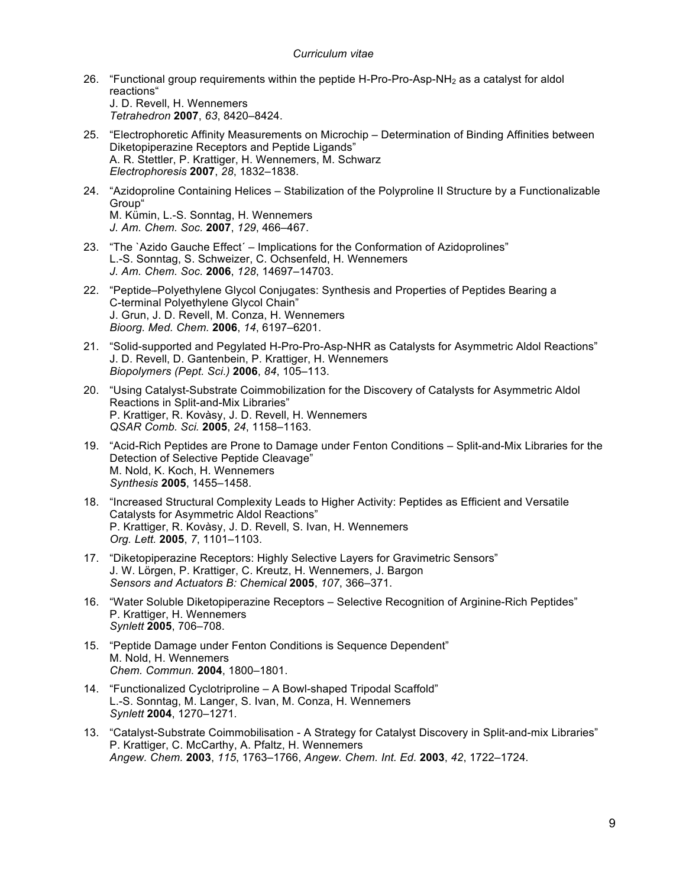- 26. "Functional group requirements within the peptide H-Pro-Pro-Asp-NH<sub>2</sub> as a catalyst for aldol reactions" J. D. Revell, H. Wennemers *Tetrahedron* **2007**, *63*, 8420–8424.
- 25. "Electrophoretic Affinity Measurements on Microchip Determination of Binding Affinities between Diketopiperazine Receptors and Peptide Ligands" A. R. Stettler, P. Krattiger, H. Wennemers, M. Schwarz *Electrophoresis* **2007**, *28*, 1832–1838.
- 24. "Azidoproline Containing Helices Stabilization of the Polyproline II Structure by a Functionalizable Group" M. Kümin, L.-S. Sonntag, H. Wennemers *J. Am. Chem. Soc.* **2007**, *129*, 466–467.
- 23. "The `Azido Gauche Effect´ Implications for the Conformation of Azidoprolines" L.-S. Sonntag, S. Schweizer, C. Ochsenfeld, H. Wennemers *J. Am. Chem. Soc.* **2006**, *128*, 14697–14703.
- 22. "Peptide–Polyethylene Glycol Conjugates: Synthesis and Properties of Peptides Bearing a C-terminal Polyethylene Glycol Chain" J. Grun, J. D. Revell, M. Conza, H. Wennemers *Bioorg. Med. Chem.* **2006**, *14*, 6197–6201.
- 21. "Solid-supported and Pegylated H-Pro-Pro-Asp-NHR as Catalysts for Asymmetric Aldol Reactions" J. D. Revell, D. Gantenbein, P. Krattiger, H. Wennemers *Biopolymers (Pept. Sci*.*)* **2006**, *84*, 105–113.
- 20. "Using Catalyst-Substrate Coimmobilization for the Discovery of Catalysts for Asymmetric Aldol Reactions in Split-and-Mix Libraries" P. Krattiger, R. Kovàsy, J. D. Revell, H. Wennemers *QSAR Comb. Sci.* **2005**, *24*, 1158–1163.
- 19. "Acid-Rich Peptides are Prone to Damage under Fenton Conditions Split-and-Mix Libraries for the Detection of Selective Peptide Cleavage" M. Nold, K. Koch, H. Wennemers *Synthesis* **2005**, 1455–1458.
- 18. "Increased Structural Complexity Leads to Higher Activity: Peptides as Efficient and Versatile Catalysts for Asymmetric Aldol Reactions" P. Krattiger, R. Kovàsy, J. D. Revell, S. Ivan, H. Wennemers *Org. Lett.* **2005**, *7*, 1101–1103.
- 17. "Diketopiperazine Receptors: Highly Selective Layers for Gravimetric Sensors" J. W. Lörgen, P. Krattiger, C. Kreutz, H. Wennemers, J. Bargon *Sensors and Actuators B: Chemical* **2005**, *107*, 366–371.
- 16. "Water Soluble Diketopiperazine Receptors Selective Recognition of Arginine-Rich Peptides" P. Krattiger, H. Wennemers *Synlett* **2005**, 706–708.
- 15. "Peptide Damage under Fenton Conditions is Sequence Dependent" M. Nold, H. Wennemers *Chem. Commun.* **2004**, 1800–1801.
- 14. "Functionalized Cyclotriproline A Bowl-shaped Tripodal Scaffold" L.-S. Sonntag, M. Langer, S. Ivan, M. Conza, H. Wennemers *Synlett* **2004**, 1270–1271*.*
- 13. "Catalyst-Substrate Coimmobilisation A Strategy for Catalyst Discovery in Split-and-mix Libraries" P. Krattiger, C. McCarthy, A. Pfaltz, H. Wennemers *Angew. Chem.* **2003**, *115*, 1763–1766, *Angew. Chem. Int. Ed.* **2003**, *42*, 1722–1724*.*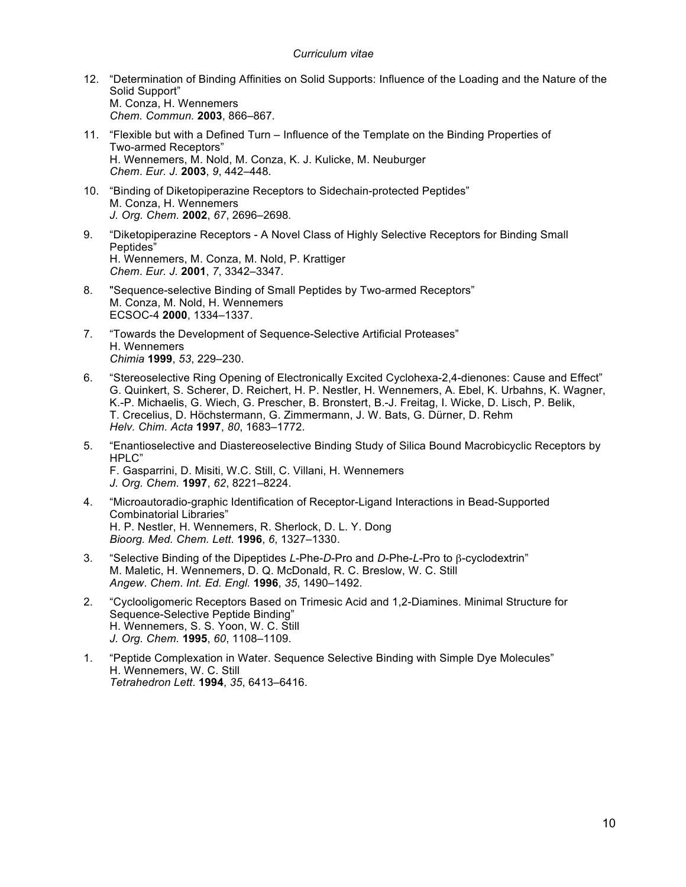- 12. "Determination of Binding Affinities on Solid Supports: Influence of the Loading and the Nature of the Solid Support" M. Conza, H. Wennemers *Chem. Commun.* **2003**, 866–867*.*
- 11. "Flexible but with a Defined Turn Influence of the Template on the Binding Properties of Two-armed Receptors" H. Wennemers, M. Nold, M. Conza, K. J. Kulicke, M. Neuburger *Chem*. *Eur. J.* **2003**, *9*, 442–448*.*
- 10. "Binding of Diketopiperazine Receptors to Sidechain-protected Peptides" M. Conza, H. Wennemers *J. Org. Chem.* **2002**, *67*, 2696–2698*.*
- 9. "Diketopiperazine Receptors A Novel Class of Highly Selective Receptors for Binding Small Peptides" H. Wennemers, M. Conza, M. Nold, P. Krattiger *Chem*. *Eur. J.* **2001**, *7*, 3342–3347*.*
- 8. "Sequence-selective Binding of Small Peptides by Two-armed Receptors" M. Conza, M. Nold, H. Wennemers ECSOC-4 **2000**, 1334–1337.
- 7. "Towards the Development of Sequence-Selective Artificial Proteases" H. Wennemers *Chimia* **1999**, *53*, 229–230.
- 6. "Stereoselective Ring Opening of Electronically Excited Cyclohexa-2,4-dienones: Cause and Effect" G. Quinkert, S. Scherer, D. Reichert, H. P. Nestler, H. Wennemers, A. Ebel, K. Urbahns, K. Wagner, K.-P. Michaelis, G. Wiech, G. Prescher, B. Bronstert, B.-J. Freitag, I. Wicke, D. Lisch, P. Belik, T. Crecelius, D. Höchstermann, G. Zimmermann, J. W. Bats, G. Dürner, D. Rehm *Helv. Chim. Acta* **1997**, *80*, 1683–1772.
- 5. "Enantioselective and Diastereoselective Binding Study of Silica Bound Macrobicyclic Receptors by HPLC" F. Gasparrini, D. Misiti, W.C. Still, C. Villani, H. Wennemers *J. Org. Chem.* **1997**, *62*, 8221–8224.
- 4. "Microautoradio-graphic Identification of Receptor-Ligand Interactions in Bead-Supported Combinatorial Libraries" H. P. Nestler, H. Wennemers, R. Sherlock, D. L. Y. Dong *Bioorg. Med. Chem. Lett*. **1996**, *6*, 1327–1330.
- 3. "Selective Binding of the Dipeptides *L*-Phe-*D*-Pro and *D*-Phe-*L*-Pro to β-cyclodextrin" M. Maletic, H. Wennemers, D. Q. McDonald, R. C. Breslow, W. C. Still *Angew*. *Chem*. *Int. Ed. Engl.* **1996**, *35*, 1490–1492.
- 2. "Cyclooligomeric Receptors Based on Trimesic Acid and 1,2-Diamines. Minimal Structure for Sequence-Selective Peptide Binding" H. Wennemers, S. S. Yoon, W. C. Still *J. Org. Chem.* **1995**, *60*, 1108–1109.
- 1. "Peptide Complexation in Water. Sequence Selective Binding with Simple Dye Molecules" H. Wennemers, W. C. Still *Tetrahedron Lett*. **1994**, *35*, 6413–6416.